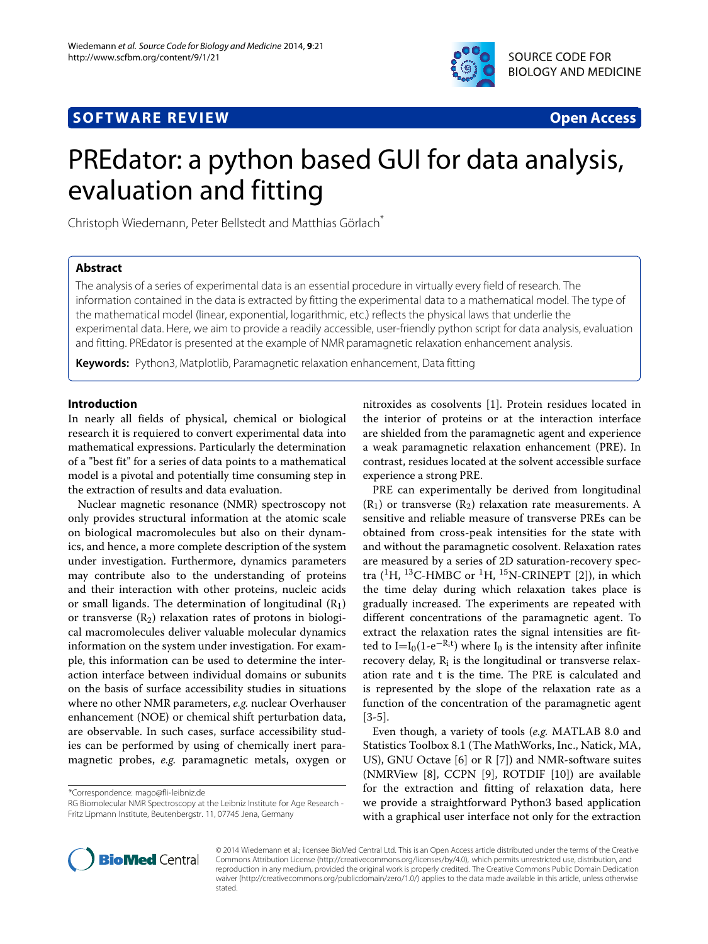

# **SOFTWARE REVIEW CONTROL**



# PREdator: a python based GUI for data analysis, evaluation and fitting

Christoph Wiedemann, Peter Bellstedt and Matthias Görlach\*

# **Abstract**

The analysis of a series of experimental data is an essential procedure in virtually every field of research. The information contained in the data is extracted by fitting the experimental data to a mathematical model. The type of the mathematical model (linear, exponential, logarithmic, etc.) reflects the physical laws that underlie the experimental data. Here, we aim to provide a readily accessible, user-friendly python script for data analysis, evaluation and fitting. PREdator is presented at the example of NMR paramagnetic relaxation enhancement analysis.

**Keywords:** Python3, Matplotlib, Paramagnetic relaxation enhancement, Data fitting

# **Introduction**

In nearly all fields of physical, chemical or biological research it is requiered to convert experimental data into mathematical expressions. Particularly the determination of a "best fit" for a series of data points to a mathematical model is a pivotal and potentially time consuming step in the extraction of results and data evaluation.

Nuclear magnetic resonance (NMR) spectroscopy not only provides structural information at the atomic scale on biological macromolecules but also on their dynamics, and hence, a more complete description of the system under investigation. Furthermore, dynamics parameters may contribute also to the understanding of proteins and their interaction with other proteins, nucleic acids or small ligands. The determination of longitudinal  $(R_1)$ or transverse  $(R_2)$  relaxation rates of protons in biological macromolecules deliver valuable molecular dynamics information on the system under investigation. For example, this information can be used to determine the interaction interface between individual domains or subunits on the basis of surface accessibility studies in situations where no other NMR parameters, *e.g.* nuclear Overhauser enhancement (NOE) or chemical shift perturbation data, are observable. In such cases, surface accessibility studies can be performed by using of chemically inert paramagnetic probes, *e.g.* paramagnetic metals, oxygen or

RG Biomolecular NMR Spectroscopy at the Leibniz Institute for Age Research - Fritz Lipmann Institute, Beutenbergstr. 11, 07745 Jena, Germany

nitroxides as cosolvents [\[1\]](#page-2-0). Protein residues located in the interior of proteins or at the interaction interface are shielded from the paramagnetic agent and experience a weak paramagnetic relaxation enhancement (PRE). In contrast, residues located at the solvent accessible surface experience a strong PRE.

PRE can experimentally be derived from longitudinal  $(R_1)$  or transverse  $(R_2)$  relaxation rate measurements. A sensitive and reliable measure of transverse PREs can be obtained from cross-peak intensities for the state with and without the paramagnetic cosolvent. Relaxation rates are measured by a series of 2D saturation-recovery spectra  $(^1H, {}^{13}C$ -HMBC or  ${}^{1}H, {}^{15}N$ -CRINEPT [\[2\]](#page-2-1)), in which the time delay during which relaxation takes place is gradually increased. The experiments are repeated with different concentrations of the paramagnetic agent. To extract the relaxation rates the signal intensities are fitted to I=I<sub>0</sub>(1-e<sup>-R<sub>i</sub>t</sup>) where I<sub>0</sub> is the intensity after infinite recovery delay,  $R_i$  is the longitudinal or transverse relaxation rate and t is the time. The PRE is calculated and is represented by the slope of the relaxation rate as a function of the concentration of the paramagnetic agent [\[3](#page-2-2)[-5\]](#page-2-3).

Even though, a variety of tools (*e.g.* MATLAB 8.0 and Statistics Toolbox 8.1 (The MathWorks, Inc., Natick, MA, US), GNU Octave [\[6\]](#page-2-4) or R [\[7\]](#page-2-5)) and NMR-software suites (NMRView [\[8\]](#page-2-6), CCPN [\[9\]](#page-2-7), ROTDIF [\[10\]](#page-3-0)) are available for the extraction and fitting of relaxation data, here we provide a straightforward Python3 based application with a graphical user interface not only for the extraction



© 2014 Wiedemann et al.; licensee BioMed Central Ltd. This is an Open Access article distributed under the terms of the Creative Commons Attribution License [\(http://creativecommons.org/licenses/by/4.0\)](http://creativecommons.org/licenses/by/4.0), which permits unrestricted use, distribution, and reproduction in any medium, provided the original work is properly credited. The Creative Commons Public Domain Dedication waiver [\(http://creativecommons.org/publicdomain/zero/1.0/\)](http://creativecommons.org/publicdomain/zero/1.0/) applies to the data made available in this article, unless otherwise stated.

<sup>\*</sup>Correspondence: [mago@fli-leibniz.de](mailto:mago@fli-leibniz.de)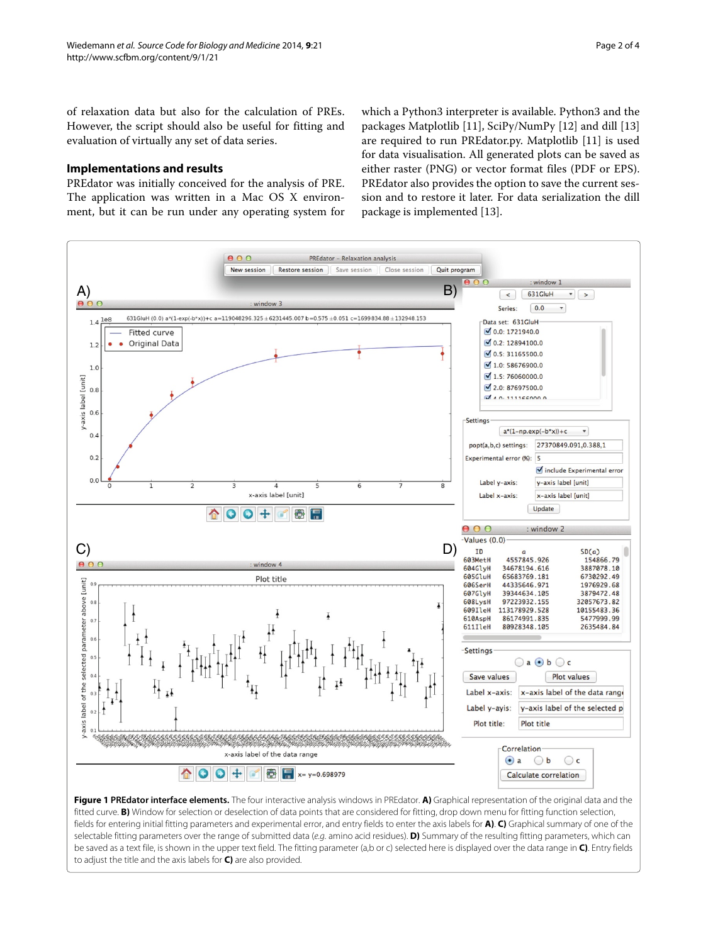of relaxation data but also for the calculation of PREs. However, the script should also be useful for fitting and evaluation of virtually any set of data series.

# **Implementations and results**

PREdator was initially conceived for the analysis of PRE. The application was written in a Mac OS X environment, but it can be run under any operating system for which a Python3 interpreter is available. Python3 and the packages Matplotlib [\[11\]](#page-3-1), SciPy/NumPy [\[12\]](#page-3-2) and dill [\[13\]](#page-3-3) are required to run PREdator.py. Matplotlib [\[11\]](#page-3-1) is used for data visualisation. All generated plots can be saved as either raster (PNG) or vector format files (PDF or EPS). PREdator also provides the option to save the current session and to restore it later. For data serialization the dill package is implemented [\[13\]](#page-3-3).



<span id="page-1-0"></span>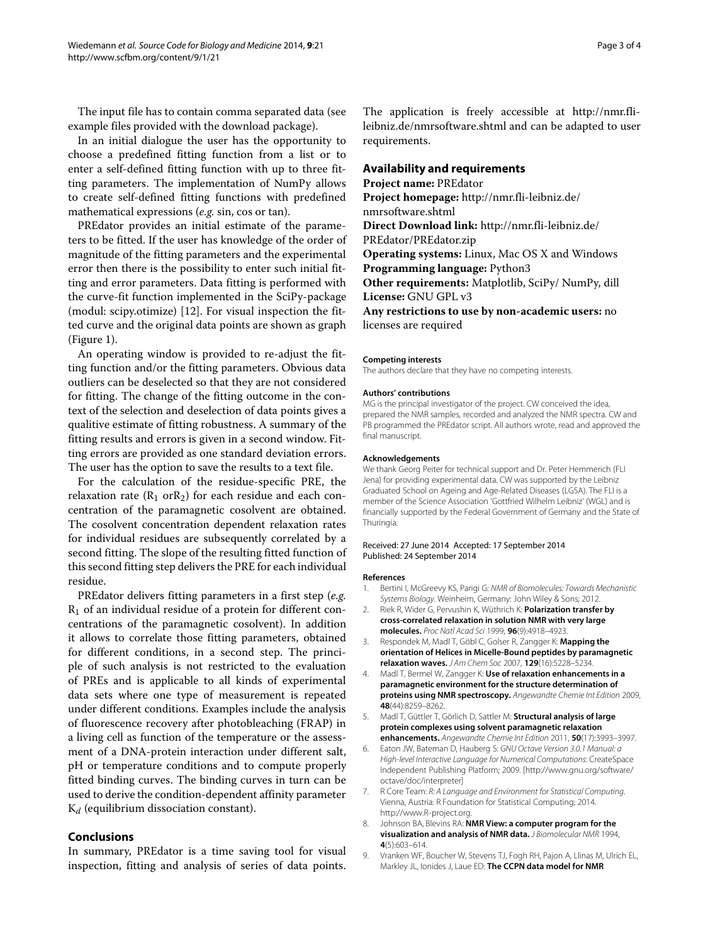The input file has to contain comma separated data (see example files provided with the download package).

In an initial dialogue the user has the opportunity to choose a predefined fitting function from a list or to enter a self-defined fitting function with up to three fitting parameters. The implementation of NumPy allows to create self-defined fitting functions with predefined mathematical expressions (*e.g.* sin, cos or tan).

PREdator provides an initial estimate of the parameters to be fitted. If the user has knowledge of the order of magnitude of the fitting parameters and the experimental error then there is the possibility to enter such initial fitting and error parameters. Data fitting is performed with the curve-fit function implemented in the SciPy-package (modul: scipy.otimize) [\[12\]](#page-3-2). For visual inspection the fitted curve and the original data points are shown as graph (Figure [1\)](#page-1-0).

An operating window is provided to re-adjust the fitting function and/or the fitting parameters. Obvious data outliers can be deselected so that they are not considered for fitting. The change of the fitting outcome in the context of the selection and deselection of data points gives a qualitive estimate of fitting robustness. A summary of the fitting results and errors is given in a second window. Fitting errors are provided as one standard deviation errors. The user has the option to save the results to a text file.

For the calculation of the residue-specific PRE, the relaxation rate ( $R_1$  or $R_2$ ) for each residue and each concentration of the paramagnetic cosolvent are obtained. The cosolvent concentration dependent relaxation rates for individual residues are subsequently correlated by a second fitting. The slope of the resulting fitted function of this second fitting step delivers the PRE for each individual residue.

PREdator delivers fitting parameters in a first step (*e.g.*  $R_1$  of an individual residue of a protein for different concentrations of the paramagnetic cosolvent). In addition it allows to correlate those fitting parameters, obtained for different conditions, in a second step. The principle of such analysis is not restricted to the evaluation of PREs and is applicable to all kinds of experimental data sets where one type of measurement is repeated under different conditions. Examples include the analysis of fluorescence recovery after photobleaching (FRAP) in a living cell as function of the temperature or the assessment of a DNA-protein interaction under different salt, pH or temperature conditions and to compute properly fitted binding curves. The binding curves in turn can be used to derive the condition-dependent affinity parameter K*<sup>d</sup>* (equilibrium dissociation constant).

# **Conclusions**

In summary, PREdator is a time saving tool for visual inspection, fitting and analysis of series of data points.

The application is freely accessible at [http://nmr.fli](http://nmr.fli-leibniz.de/nmrsoftware.shtml)[leibniz.de/nmrsoftware.shtml](http://nmr.fli-leibniz.de/nmrsoftware.shtml) and can be adapted to user requirements.

# **Availability and requirements**

**Project name:** PREdator **Project homepage:** [http://nmr.fli-leibniz.de/](http://nmr.fli-leibniz.de/nmrsoftware.shtml) [nmrsoftware.shtml](http://nmr.fli-leibniz.de/nmrsoftware.shtml) **Direct Download link:** [http://nmr.fli-leibniz.de/](http://nmr.fli-leibniz.de/PREdator/PREdator.zip) [PREdator/PREdator.zip](http://nmr.fli-leibniz.de/PREdator/PREdator.zip) **Operating systems:** Linux, Mac OS X and Windows **Programming language:** Python3 **Other requirements:** Matplotlib, SciPy/ NumPy, dill **License:** GNU GPL v3 **Any restrictions to use by non-academic users:** no licenses are required

#### **Competing interests**

The authors declare that they have no competing interests.

#### **Authors' contributions**

MG is the principal investigator of the project. CW conceived the idea, prepared the NMR samples, recorded and analyzed the NMR spectra. CW and PB programmed the PREdator script. All authors wrote, read and approved the final manuscript.

#### **Acknowledgements**

We thank Georg Peiter for technical support and Dr. Peter Hemmerich (FLI Jena) for providing experimental data. CW was supported by the Leibniz Graduated School on Ageing and Age-Related Diseases (LGSA). The FLI is a member of the Science Association 'Gottfried Wilhelm Leibniz' (WGL) and is financially supported by the Federal Government of Germany and the State of Thuringia.

#### Received: 27 June 2014 Accepted: 17 September 2014 Published: 24 September 2014

#### **References**

- <span id="page-2-0"></span>1. Bertini I, McGreevy KS, Parigi G: *NMR of Biomolecules: Towards Mechanistic Systems Biology*. Weinheim, Germany: John Wiley & Sons; 2012.
- <span id="page-2-1"></span>2. Riek R, Wider G, Pervushin K, Wüthrich K: **Polarization transfer by cross-correlated relaxation in solution NMR with very large molecules.** *Proc Natl Acad Sci* 1999, **96**(9):4918–4923.
- <span id="page-2-2"></span>3. Respondek M, Madl T, Göbl C, Golser R, Zangger K: **Mapping the orientation of Helices in Micelle-Bound peptides by paramagnetic relaxation waves.** *J Am Chem Soc* 2007, **129**(16):5228–5234.
- 4. Madl T, Bermel W, Zangger K: **Use of relaxation enhancements in a paramagnetic environment for the structure determination of proteins using NMR spectroscopy.** *Angewandte Chemie Int Edition* 2009, **48**(44):8259–8262.
- <span id="page-2-3"></span>5. Madl T, Güttler T, Görlich D, Sattler M: **Structural analysis of large protein complexes using solvent paramagnetic relaxation enhancements.** *Angewandte Chemie Int Edition* 2011, **50**(17):3993–3997.
- <span id="page-2-4"></span>6. Eaton JW, Bateman D, Hauberg S: *GNU Octave Version 3.0.1 Manual: a High-level Interactive Language for Numerical Computations*: CreateSpace Independent Publishing Platform; 2009. [\[http://www.gnu.org/software/](http://www.gnu.org/software/octave/doc/interpreter) [octave/doc/interpreter\]](http://www.gnu.org/software/octave/doc/interpreter)
- <span id="page-2-5"></span>7. R Core Team: *R: A Language and Environment for Statistical Computing*. Vienna, Austria: R Foundation for Statistical Computing; 2014. [http://www.R-project.org.](http://www.R-project.org)
- <span id="page-2-6"></span>8. Johnson BA, Blevins RA: **NMR View: a computer program for the visualization and analysis of NMR data.** *J Biomolecular NMR* 1994, **4**(5):603–614.
- <span id="page-2-7"></span>9. Vranken WF, Boucher W, Stevens TJ, Fogh RH, Pajon A, Llinas M, Ulrich EL, Markley JL, Ionides J, Laue ED: **The CCPN data model for NMR**